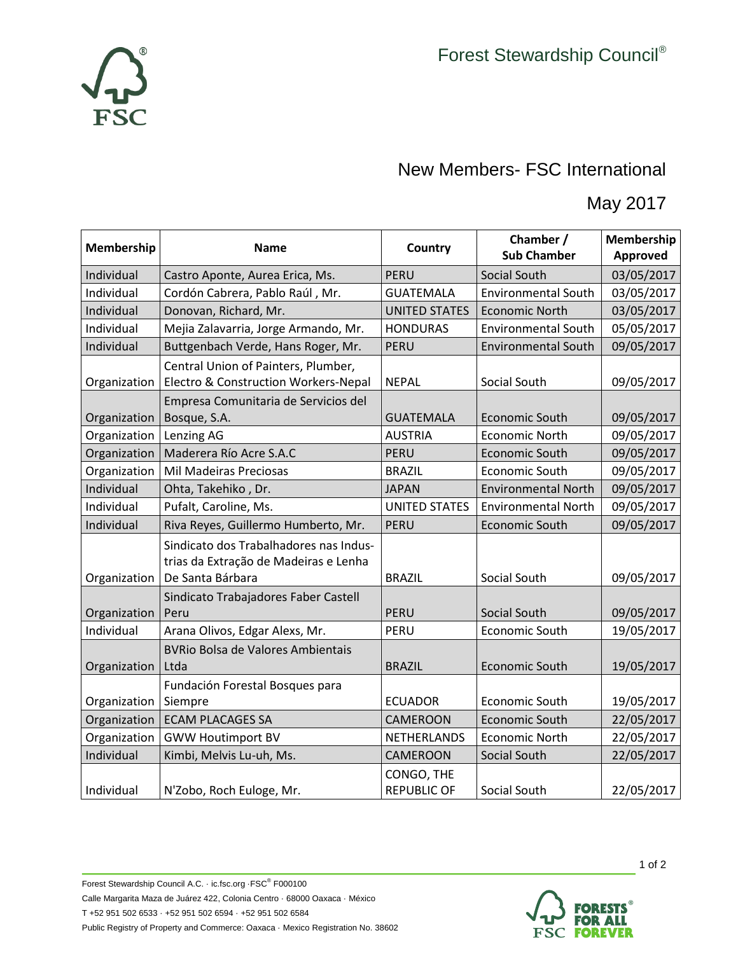

## New Members- FSC International

## May 2017

| <b>Membership</b> | <b>Name</b>                                                                                         | Country                          | Chamber /<br><b>Sub Chamber</b> | Membership<br>Approved |
|-------------------|-----------------------------------------------------------------------------------------------------|----------------------------------|---------------------------------|------------------------|
| Individual        | Castro Aponte, Aurea Erica, Ms.                                                                     | <b>PERU</b>                      | Social South                    | 03/05/2017             |
| Individual        | Cordón Cabrera, Pablo Raúl, Mr.                                                                     | <b>GUATEMALA</b>                 | <b>Environmental South</b>      | 03/05/2017             |
| Individual        | Donovan, Richard, Mr.                                                                               | <b>UNITED STATES</b>             | <b>Economic North</b>           | 03/05/2017             |
| Individual        | Mejia Zalavarria, Jorge Armando, Mr.                                                                | <b>HONDURAS</b>                  | <b>Environmental South</b>      | 05/05/2017             |
| Individual        | Buttgenbach Verde, Hans Roger, Mr.                                                                  | <b>PERU</b>                      | <b>Environmental South</b>      | 09/05/2017             |
| Organization      | Central Union of Painters, Plumber,<br>Electro & Construction Workers-Nepal                         | <b>NEPAL</b>                     | Social South                    | 09/05/2017             |
| Organization      | Empresa Comunitaria de Servicios del<br>Bosque, S.A.                                                | <b>GUATEMALA</b>                 | <b>Economic South</b>           | 09/05/2017             |
| Organization      | Lenzing AG                                                                                          | <b>AUSTRIA</b>                   | <b>Economic North</b>           | 09/05/2017             |
| Organization      | Maderera Río Acre S.A.C                                                                             | <b>PERU</b>                      | <b>Economic South</b>           | 09/05/2017             |
| Organization      | Mil Madeiras Preciosas                                                                              | <b>BRAZIL</b>                    | <b>Economic South</b>           | 09/05/2017             |
| Individual        | Ohta, Takehiko, Dr.                                                                                 | <b>JAPAN</b>                     | <b>Environmental North</b>      | 09/05/2017             |
| Individual        | Pufalt, Caroline, Ms.                                                                               | <b>UNITED STATES</b>             | <b>Environmental North</b>      | 09/05/2017             |
| Individual        | Riva Reyes, Guillermo Humberto, Mr.                                                                 | <b>PERU</b>                      | <b>Economic South</b>           | 09/05/2017             |
| Organization      | Sindicato dos Trabalhadores nas Indus-<br>trias da Extração de Madeiras e Lenha<br>De Santa Bárbara | <b>BRAZIL</b>                    | Social South                    | 09/05/2017             |
| Organization      | Sindicato Trabajadores Faber Castell<br>Peru                                                        | <b>PERU</b>                      | Social South                    | 09/05/2017             |
| Individual        | Arana Olivos, Edgar Alexs, Mr.                                                                      | PERU                             | Economic South                  | 19/05/2017             |
| Organization      | <b>BVRio Bolsa de Valores Ambientais</b><br>Ltda                                                    | <b>BRAZIL</b>                    | <b>Economic South</b>           | 19/05/2017             |
| Organization      | Fundación Forestal Bosques para<br>Siempre                                                          | <b>ECUADOR</b>                   | Economic South                  | 19/05/2017             |
| Organization      | <b>ECAM PLACAGES SA</b>                                                                             | <b>CAMEROON</b>                  | <b>Economic South</b>           | 22/05/2017             |
| Organization      | <b>GWW Houtimport BV</b>                                                                            | NETHERLANDS                      | <b>Economic North</b>           | 22/05/2017             |
| Individual        | Kimbi, Melvis Lu-uh, Ms.                                                                            | <b>CAMEROON</b>                  | Social South                    | 22/05/2017             |
| Individual        | N'Zobo, Roch Euloge, Mr.                                                                            | CONGO, THE<br><b>REPUBLIC OF</b> | Social South                    | 22/05/2017             |